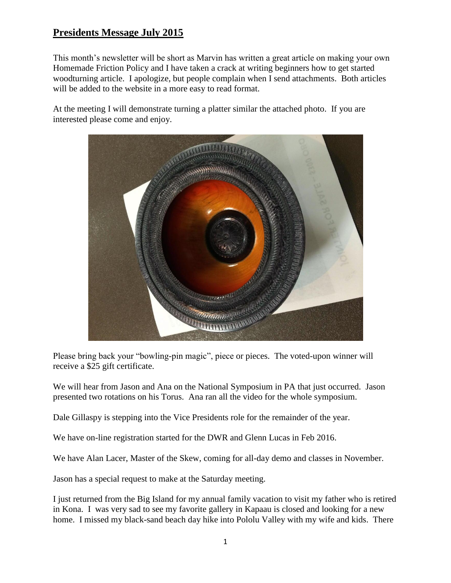This month's newsletter will be short as Marvin has written a great article on making your own Homemade Friction Policy and I have taken a crack at writing beginners how to get started woodturning article. I apologize, but people complain when I send attachments. Both articles will be added to the website in a more easy to read format.

At the meeting I will demonstrate turning a platter similar the attached photo. If you are interested please come and enjoy.



Please bring back your "bowling-pin magic", piece or pieces. The voted-upon winner will receive a \$25 gift certificate.

We will hear from Jason and Ana on the National Symposium in PA that just occurred. Jason presented two rotations on his Torus. Ana ran all the video for the whole symposium.

Dale Gillaspy is stepping into the Vice Presidents role for the remainder of the year.

We have on-line registration started for the DWR and Glenn Lucas in Feb 2016.

We have Alan Lacer, Master of the Skew, coming for all-day demo and classes in November.

Jason has a special request to make at the Saturday meeting.

I just returned from the Big Island for my annual family vacation to visit my father who is retired in Kona. I was very sad to see my favorite gallery in Kapaau is closed and looking for a new home. I missed my black-sand beach day hike into Pololu Valley with my wife and kids. There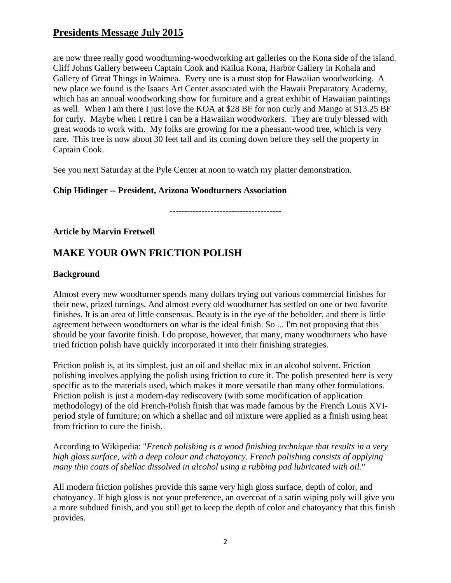are now three really good woodturning-woodworking art galleries on the Kona side of the island. Cliff Johns Gallery between Captain Cook and Kailua Kona, Harbor Gallery in Kohala and Gallery of Great Things in Waimea. Every one is a must stop for Hawaiian woodworking. A new place we found is the Isaacs Art Center associated with the Hawaii Preparatory Academy, which has an annual woodworking show for furniture and a great exhibit of Hawaiian paintings as well. When I am there I just love the KOA at \$28 BF for non curly and Mango at \$13.25 BF for curly. Maybe when I retire I can be a Hawaiian woodworkers. They are truly blessed with great woods to work with. My folks are growing for me a pheasant-wood tree, which is very rare. This tree is now about 30 feet tall and its coming down before they sell the property in Captain Cook.

See you next Saturday at the Pyle Center at noon to watch my platter demonstration.

#### **Chip Hidinger -- President, Arizona Woodturners Association**

--------------------------------------

### **Article by Marvin Fretwell**

# **MAKE YOUR OWN FRICTION POLISH**

#### **Background**

Almost every new woodturner spends many dollars trying out various commercial finishes for their new, prized turnings. And almost every old woodturner has settled on one or two favorite finishes. It is an area of little consensus. Beauty is in the eye of the beholder, and there is little agreement between woodturners on what is the ideal finish. So ... I'm not proposing that this should be your favorite finish. I do propose, however, that many, many woodturners who have tried friction polish have quickly incorporated it into their finishing strategies.

Friction polish is, at its simplest, just an oil and shellac mix in an alcohol solvent. Friction polishing involves applying the polish using friction to cure it. The polish presented here is very specific as to the materials used, which makes it more versatile than many other formulations. Friction polish is just a modern-day rediscovery (with some modification of application methodology) of the old French-Polish finish that was made famous by the French Louis XVIperiod style of furniture; on which a shellac and oil mixture were applied as a finish using heat from friction to cure the finish.

According to Wikipedia: "*French polishing is a wood finishing technique that results in a very high gloss surface, with a deep colour and chatoyancy. French polishing consists of applying many thin coats of shellac dissolved in alcohol using a rubbing pad lubricated with oil.*"

All modern friction polishes provide this same very high gloss surface, depth of color, and chatoyancy. If high gloss is not your preference, an overcoat of a satin wiping poly will give you a more subdued finish, and you still get to keep the depth of color and chatoyancy that this finish provides.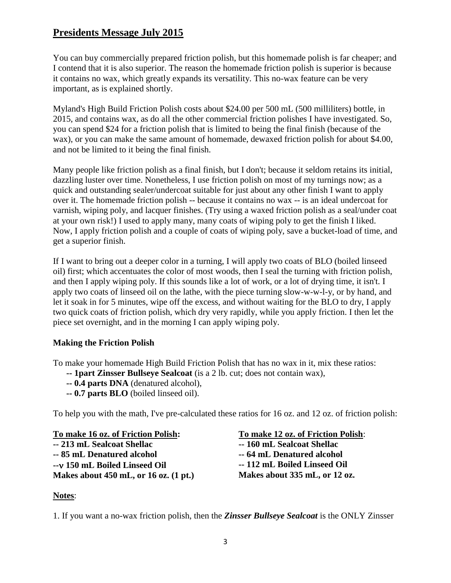You can buy commercially prepared friction polish, but this homemade polish is far cheaper; and I contend that it is also superior. The reason the homemade friction polish is superior is because it contains no wax, which greatly expands its versatility. This no-wax feature can be very important, as is explained shortly.

Myland's High Build Friction Polish costs about \$24.00 per 500 mL (500 milliliters) bottle, in 2015, and contains wax, as do all the other commercial friction polishes I have investigated. So, you can spend \$24 for a friction polish that is limited to being the final finish (because of the wax), or you can make the same amount of homemade, dewaxed friction polish for about \$4.00, and not be limited to it being the final finish.

Many people like friction polish as a final finish, but I don't; because it seldom retains its initial, dazzling luster over time. Nonetheless, I use friction polish on most of my turnings now; as a quick and outstanding sealer/undercoat suitable for just about any other finish I want to apply over it. The homemade friction polish -- because it contains no wax -- is an ideal undercoat for varnish, wiping poly, and lacquer finishes. (Try using a waxed friction polish as a seal/under coat at your own risk!) I used to apply many, many coats of wiping poly to get the finish I liked. Now, I apply friction polish and a couple of coats of wiping poly, save a bucket-load of time, and get a superior finish.

If I want to bring out a deeper color in a turning, I will apply two coats of BLO (boiled linseed oil) first; which accentuates the color of most woods, then I seal the turning with friction polish, and then I apply wiping poly. If this sounds like a lot of work, or a lot of drying time, it isn't. I apply two coats of linseed oil on the lathe, with the piece turning slow-w-w-l-y, or by hand, and let it soak in for 5 minutes, wipe off the excess, and without waiting for the BLO to dry, I apply two quick coats of friction polish, which dry very rapidly, while you apply friction. I then let the piece set overnight, and in the morning I can apply wiping poly.

### **Making the Friction Polish**

To make your homemade High Build Friction Polish that has no wax in it, mix these ratios:

- **-- 1part Zinsser Bullseye Sealcoat** (is a 2 lb. cut; does not contain wax),
- **-- 0.4 parts DNA** (denatured alcohol),
- **-- 0.7 parts BLO** (boiled linseed oil).

To help you with the math, I've pre-calculated these ratios for 16 oz. and 12 oz. of friction polish:

**To make 16 oz. of Friction Polish: -- 213 mL Sealcoat Shellac -- 85 mL Denatured alcohol -- 150 mL Boiled Linseed Oil Makes about 450 mL, or 16 oz. (1 pt.)**

**To make 12 oz. of Friction Polish**: **-- 160 mL Sealcoat Shellac -- 64 mL Denatured alcohol -- 112 mL Boiled Linseed Oil Makes about 335 mL, or 12 oz.**

### **Notes**:

1. If you want a no-wax friction polish, then the *Zinsser Bullseye Sealcoat* is the ONLY Zinsser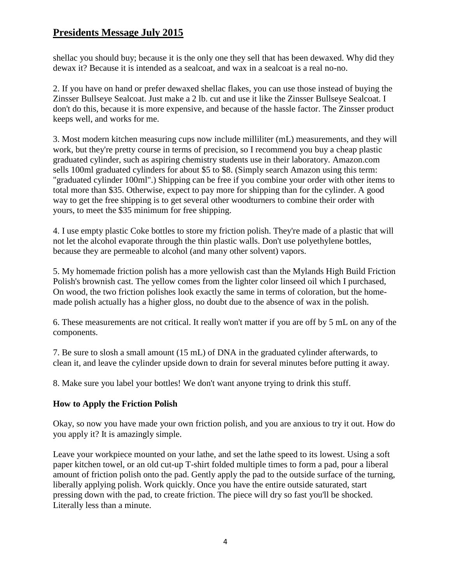shellac you should buy; because it is the only one they sell that has been dewaxed. Why did they dewax it? Because it is intended as a sealcoat, and wax in a sealcoat is a real no-no.

2. If you have on hand or prefer dewaxed shellac flakes, you can use those instead of buying the Zinsser Bullseye Sealcoat. Just make a 2 lb. cut and use it like the Zinsser Bullseye Sealcoat. I don't do this, because it is more expensive, and because of the hassle factor. The Zinsser product keeps well, and works for me.

3. Most modern kitchen measuring cups now include milliliter (mL) measurements, and they will work, but they're pretty course in terms of precision, so I recommend you buy a cheap plastic graduated cylinder, such as aspiring chemistry students use in their laboratory. Amazon.com sells 100ml graduated cylinders for about \$5 to \$8. (Simply search Amazon using this term: "graduated cylinder 100ml".) Shipping can be free if you combine your order with other items to total more than \$35. Otherwise, expect to pay more for shipping than for the cylinder. A good way to get the free shipping is to get several other woodturners to combine their order with yours, to meet the \$35 minimum for free shipping.

4. I use empty plastic Coke bottles to store my friction polish. They're made of a plastic that will not let the alcohol evaporate through the thin plastic walls. Don't use polyethylene bottles, because they are permeable to alcohol (and many other solvent) vapors.

5. My homemade friction polish has a more yellowish cast than the Mylands High Build Friction Polish's brownish cast. The yellow comes from the lighter color linseed oil which I purchased, On wood, the two friction polishes look exactly the same in terms of coloration, but the homemade polish actually has a higher gloss, no doubt due to the absence of wax in the polish.

6. These measurements are not critical. It really won't matter if you are off by 5 mL on any of the components.

7. Be sure to slosh a small amount (15 mL) of DNA in the graduated cylinder afterwards, to clean it, and leave the cylinder upside down to drain for several minutes before putting it away.

8. Make sure you label your bottles! We don't want anyone trying to drink this stuff.

### **How to Apply the Friction Polish**

Okay, so now you have made your own friction polish, and you are anxious to try it out. How do you apply it? It is amazingly simple.

Leave your workpiece mounted on your lathe, and set the lathe speed to its lowest. Using a soft paper kitchen towel, or an old cut-up T-shirt folded multiple times to form a pad, pour a liberal amount of friction polish onto the pad. Gently apply the pad to the outside surface of the turning, liberally applying polish. Work quickly. Once you have the entire outside saturated, start pressing down with the pad, to create friction. The piece will dry so fast you'll be shocked. Literally less than a minute.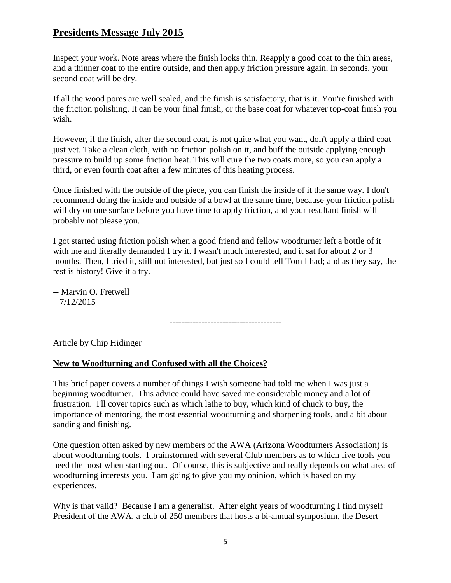Inspect your work. Note areas where the finish looks thin. Reapply a good coat to the thin areas, and a thinner coat to the entire outside, and then apply friction pressure again. In seconds, your second coat will be dry.

If all the wood pores are well sealed, and the finish is satisfactory, that is it. You're finished with the friction polishing. It can be your final finish, or the base coat for whatever top-coat finish you wish.

However, if the finish, after the second coat, is not quite what you want, don't apply a third coat just yet. Take a clean cloth, with no friction polish on it, and buff the outside applying enough pressure to build up some friction heat. This will cure the two coats more, so you can apply a third, or even fourth coat after a few minutes of this heating process.

Once finished with the outside of the piece, you can finish the inside of it the same way. I don't recommend doing the inside and outside of a bowl at the same time, because your friction polish will dry on one surface before you have time to apply friction, and your resultant finish will probably not please you.

I got started using friction polish when a good friend and fellow woodturner left a bottle of it with me and literally demanded I try it. I wasn't much interested, and it sat for about 2 or 3 months. Then, I tried it, still not interested, but just so I could tell Tom I had; and as they say, the rest is history! Give it a try.

-- Marvin O. Fretwell 7/12/2015

--------------------------------------

Article by Chip Hidinger

#### **New to Woodturning and Confused with all the Choices?**

This brief paper covers a number of things I wish someone had told me when I was just a beginning woodturner. This advice could have saved me considerable money and a lot of frustration. I'll cover topics such as which lathe to buy, which kind of chuck to buy, the importance of mentoring, the most essential woodturning and sharpening tools, and a bit about sanding and finishing.

One question often asked by new members of the AWA (Arizona Woodturners Association) is about woodturning tools. I brainstormed with several Club members as to which five tools you need the most when starting out. Of course, this is subjective and really depends on what area of woodturning interests you. I am going to give you my opinion, which is based on my experiences.

Why is that valid? Because I am a generalist. After eight years of woodturning I find myself President of the AWA, a club of 250 members that hosts a bi-annual symposium, the Desert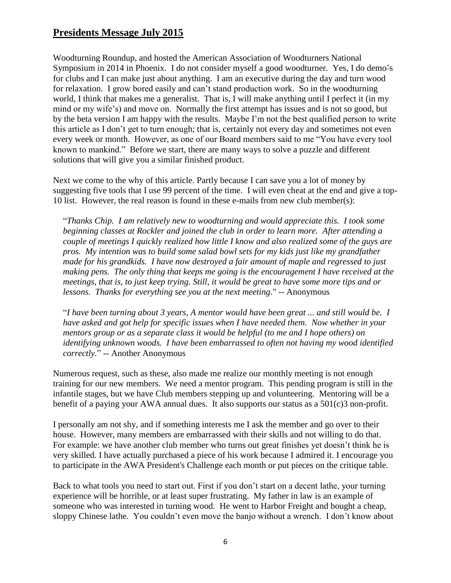Woodturning Roundup, and hosted the American Association of Woodturners National Symposium in 2014 in Phoenix. I do not consider myself a good woodturner. Yes, I do demo's for clubs and I can make just about anything. I am an executive during the day and turn wood for relaxation. I grow bored easily and can't stand production work. So in the woodturning world, I think that makes me a generalist. That is, I will make anything until I perfect it (in my mind or my wife's) and move on. Normally the first attempt has issues and is not so good, but by the beta version I am happy with the results. Maybe I'm not the best qualified person to write this article as I don't get to turn enough; that is, certainly not every day and sometimes not even every week or month. However, as one of our Board members said to me "You have every tool known to mankind." Before we start, there are many ways to solve a puzzle and different solutions that will give you a similar finished product.

Next we come to the why of this article. Partly because I can save you a lot of money by suggesting five tools that I use 99 percent of the time. I will even cheat at the end and give a top-10 list. However, the real reason is found in these e-mails from new club member(s):

"*Thanks Chip. I am relatively new to woodturning and would appreciate this. I took some beginning classes at Rockler and joined the club in order to learn more. After attending a couple of meetings I quickly realized how little I know and also realized some of the guys are pros. My intention was to build some salad bowl sets for my kids just like my grandfather made for his grandkids. I have now destroyed a fair amount of maple and regressed to just making pens. The only thing that keeps me going is the encouragement I have received at the meetings, that is, to just keep trying. Still, it would be great to have some more tips and or lessons. Thanks for everything see you at the next meeting.*" -- Anonymous

"*I have been turning about 3 years, A mentor would have been great ... and still would be. I have asked and got help for specific issues when I have needed them. Now whether in your mentors group or as a separate class it would be helpful (to me and I hope others) on identifying unknown woods. I have been embarrassed to often not having my wood identified correctly.*" -- Another Anonymous

Numerous request, such as these, also made me realize our monthly meeting is not enough training for our new members. We need a mentor program. This pending program is still in the infantile stages, but we have Club members stepping up and volunteering. Mentoring will be a benefit of a paying your AWA annual dues. It also supports our status as a 501(c)3 non-profit.

I personally am not shy, and if something interests me I ask the member and go over to their house. However, many members are embarrassed with their skills and not willing to do that. For example: we have another club member who turns out great finishes yet doesn't think he is very skilled. I have actually purchased a piece of his work because I admired it. I encourage you to participate in the AWA President's Challenge each month or put pieces on the critique table.

Back to what tools you need to start out. First if you don't start on a decent lathe, your turning experience will be horrible, or at least super frustrating. My father in law is an example of someone who was interested in turning wood. He went to Harbor Freight and bought a cheap, sloppy Chinese lathe. You couldn't even move the banjo without a wrench. I don't know about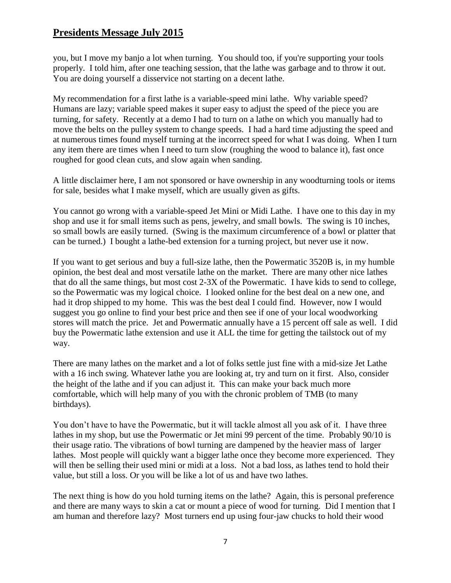you, but I move my banjo a lot when turning. You should too, if you're supporting your tools properly. I told him, after one teaching session, that the lathe was garbage and to throw it out. You are doing yourself a disservice not starting on a decent lathe.

My recommendation for a first lathe is a variable-speed mini lathe. Why variable speed? Humans are lazy; variable speed makes it super easy to adjust the speed of the piece you are turning, for safety. Recently at a demo I had to turn on a lathe on which you manually had to move the belts on the pulley system to change speeds. I had a hard time adjusting the speed and at numerous times found myself turning at the incorrect speed for what I was doing. When I turn any item there are times when I need to turn slow (roughing the wood to balance it), fast once roughed for good clean cuts, and slow again when sanding.

A little disclaimer here, I am not sponsored or have ownership in any woodturning tools or items for sale, besides what I make myself, which are usually given as gifts.

You cannot go wrong with a variable-speed Jet Mini or Midi Lathe. I have one to this day in my shop and use it for small items such as pens, jewelry, and small bowls. The swing is 10 inches, so small bowls are easily turned. (Swing is the maximum circumference of a bowl or platter that can be turned.) I bought a lathe-bed extension for a turning project, but never use it now.

If you want to get serious and buy a full-size lathe, then the Powermatic 3520B is, in my humble opinion, the best deal and most versatile lathe on the market. There are many other nice lathes that do all the same things, but most cost 2-3X of the Powermatic. I have kids to send to college, so the Powermatic was my logical choice. I looked online for the best deal on a new one, and had it drop shipped to my home. This was the best deal I could find. However, now I would suggest you go online to find your best price and then see if one of your local woodworking stores will match the price. Jet and Powermatic annually have a 15 percent off sale as well. I did buy the Powermatic lathe extension and use it ALL the time for getting the tailstock out of my way.

There are many lathes on the market and a lot of folks settle just fine with a mid-size Jet Lathe with a 16 inch swing. Whatever lathe you are looking at, try and turn on it first. Also, consider the height of the lathe and if you can adjust it. This can make your back much more comfortable, which will help many of you with the chronic problem of TMB (to many birthdays).

You don't have to have the Powermatic, but it will tackle almost all you ask of it. I have three lathes in my shop, but use the Powermatic or Jet mini 99 percent of the time. Probably 90/10 is their usage ratio. The vibrations of bowl turning are dampened by the heavier mass of larger lathes. Most people will quickly want a bigger lathe once they become more experienced. They will then be selling their used mini or midi at a loss. Not a bad loss, as lathes tend to hold their value, but still a loss. Or you will be like a lot of us and have two lathes.

The next thing is how do you hold turning items on the lathe? Again, this is personal preference and there are many ways to skin a cat or mount a piece of wood for turning. Did I mention that I am human and therefore lazy? Most turners end up using four-jaw chucks to hold their wood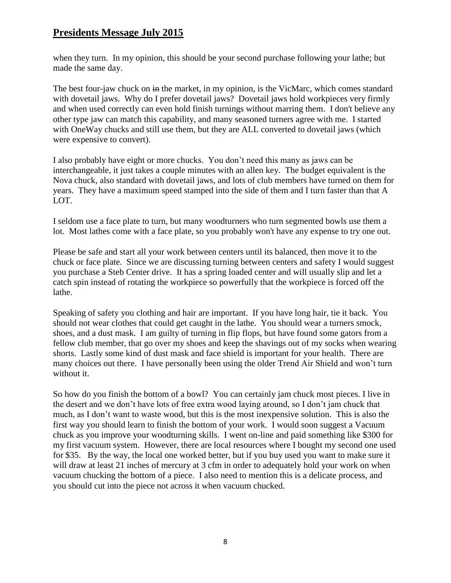when they turn. In my opinion, this should be your second purchase following your lathe; but made the same day.

The best four-jaw chuck on  $\frac{1}{2}$  in the market, in my opinion, is the VicMarc, which comes standard with dovetail jaws. Why do I prefer dovetail jaws? Dovetail jaws hold workpieces very firmly and when used correctly can even hold finish turnings without marring them. I don't believe any other type jaw can match this capability, and many seasoned turners agree with me. I started with OneWay chucks and still use them, but they are ALL converted to dovetail jaws (which were expensive to convert).

I also probably have eight or more chucks. You don't need this many as jaws can be interchangeable, it just takes a couple minutes with an allen key. The budget equivalent is the Nova chuck, also standard with dovetail jaws, and lots of club members have turned on them for years. They have a maximum speed stamped into the side of them and I turn faster than that A LOT.

I seldom use a face plate to turn, but many woodturners who turn segmented bowls use them a lot. Most lathes come with a face plate, so you probably won't have any expense to try one out.

Please be safe and start all your work between centers until its balanced, then move it to the chuck or face plate. Since we are discussing turning between centers and safety I would suggest you purchase a Steb Center drive. It has a spring loaded center and will usually slip and let a catch spin instead of rotating the workpiece so powerfully that the workpiece is forced off the lathe.

Speaking of safety you clothing and hair are important. If you have long hair, tie it back. You should not wear clothes that could get caught in the lathe. You should wear a turners smock, shoes, and a dust mask. I am guilty of turning in flip flops, but have found some gators from a fellow club member, that go over my shoes and keep the shavings out of my socks when wearing shorts. Lastly some kind of dust mask and face shield is important for your health. There are many choices out there. I have personally been using the older Trend Air Shield and won't turn without it.

So how do you finish the bottom of a bowl? You can certainly jam chuck most pieces. I live in the desert and we don't have lots of free extra wood laying around, so I don't jam chuck that much, as I don't want to waste wood, but this is the most inexpensive solution. This is also the first way you should learn to finish the bottom of your work. I would soon suggest a Vacuum chuck as you improve your woodturning skills. I went on-line and paid something like \$300 for my first vacuum system. However, there are local resources where I bought my second one used for \$35. By the way, the local one worked better, but if you buy used you want to make sure it will draw at least 21 inches of mercury at 3 cfm in order to adequately hold your work on when vacuum chucking the bottom of a piece. I also need to mention this is a delicate process, and you should cut into the piece not across it when vacuum chucked.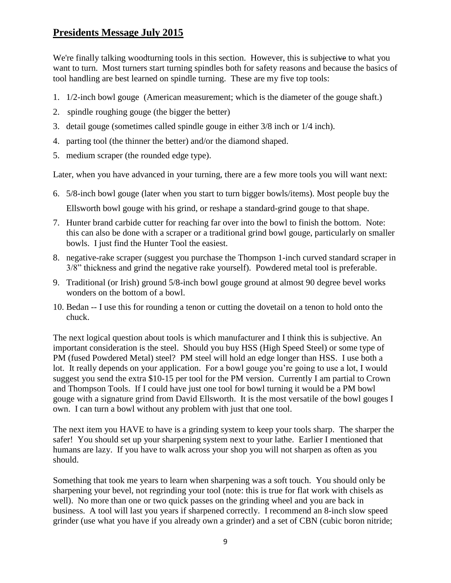We're finally talking woodturning tools in this section. However, this is subjective to what you want to turn. Most turners start turning spindles both for safety reasons and because the basics of tool handling are best learned on spindle turning. These are my five top tools:

- 1. 1/2-inch bowl gouge (American measurement; which is the diameter of the gouge shaft.)
- 2. spindle roughing gouge (the bigger the better)
- 3. detail gouge (sometimes called spindle gouge in either 3/8 inch or 1/4 inch).
- 4. parting tool (the thinner the better) and/or the diamond shaped.
- 5. medium scraper (the rounded edge type).

Later, when you have advanced in your turning, there are a few more tools you will want next:

- 6. 5/8-inch bowl gouge (later when you start to turn bigger bowls/items). Most people buy the Ellsworth bowl gouge with his grind, or reshape a standard-grind gouge to that shape.
- 7. Hunter brand carbide cutter for reaching far over into the bowl to finish the bottom. Note: this can also be done with a scraper or a traditional grind bowl gouge, particularly on smaller bowls. I just find the Hunter Tool the easiest.
- 8. negative-rake scraper (suggest you purchase the Thompson 1-inch curved standard scraper in 3/8" thickness and grind the negative rake yourself). Powdered metal tool is preferable.
- 9. Traditional (or Irish) ground 5/8-inch bowl gouge ground at almost 90 degree bevel works wonders on the bottom of a bowl.
- 10. Bedan -- I use this for rounding a tenon or cutting the dovetail on a tenon to hold onto the chuck.

The next logical question about tools is which manufacturer and I think this is subjective. An important consideration is the steel. Should you buy HSS (High Speed Steel) or some type of PM (fused Powdered Metal) steel? PM steel will hold an edge longer than HSS. I use both a lot. It really depends on your application. For a bowl gouge you're going to use a lot, I would suggest you send the extra \$10-15 per tool for the PM version. Currently I am partial to Crown and Thompson Tools. If I could have just one tool for bowl turning it would be a PM bowl gouge with a signature grind from David Ellsworth. It is the most versatile of the bowl gouges I own. I can turn a bowl without any problem with just that one tool.

The next item you HAVE to have is a grinding system to keep your tools sharp. The sharper the safer! You should set up your sharpening system next to your lathe. Earlier I mentioned that humans are lazy. If you have to walk across your shop you will not sharpen as often as you should.

Something that took me years to learn when sharpening was a soft touch. You should only be sharpening your bevel, not regrinding your tool (note: this is true for flat work with chisels as well). No more than one or two quick passes on the grinding wheel and you are back in business. A tool will last you years if sharpened correctly. I recommend an 8-inch slow speed grinder (use what you have if you already own a grinder) and a set of CBN (cubic boron nitride;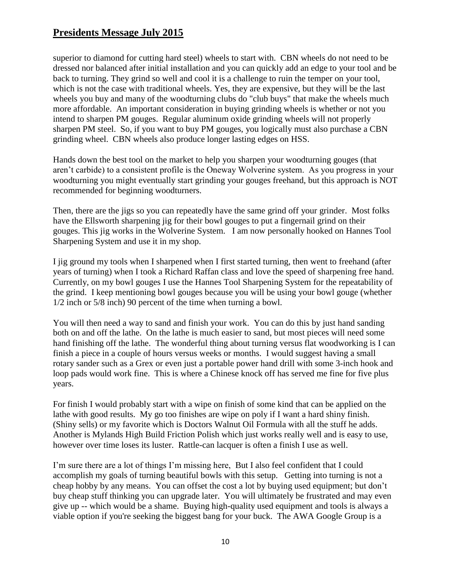superior to diamond for cutting hard steel) wheels to start with. CBN wheels do not need to be dressed nor balanced after initial installation and you can quickly add an edge to your tool and be back to turning. They grind so well and cool it is a challenge to ruin the temper on your tool, which is not the case with traditional wheels. Yes, they are expensive, but they will be the last wheels you buy and many of the woodturning clubs do "club buys" that make the wheels much more affordable. An important consideration in buying grinding wheels is whether or not you intend to sharpen PM gouges. Regular aluminum oxide grinding wheels will not properly sharpen PM steel. So, if you want to buy PM gouges, you logically must also purchase a CBN grinding wheel. CBN wheels also produce longer lasting edges on HSS.

Hands down the best tool on the market to help you sharpen your woodturning gouges (that aren't carbide) to a consistent profile is the Oneway Wolverine system. As you progress in your woodturning you might eventually start grinding your gouges freehand, but this approach is NOT recommended for beginning woodturners.

Then, there are the jigs so you can repeatedly have the same grind off your grinder. Most folks have the Ellsworth sharpening jig for their bowl gouges to put a fingernail grind on their gouges. This jig works in the Wolverine System. I am now personally hooked on Hannes Tool Sharpening System and use it in my shop.

I jig ground my tools when I sharpened when I first started turning, then went to freehand (after years of turning) when I took a Richard Raffan class and love the speed of sharpening free hand. Currently, on my bowl gouges I use the Hannes Tool Sharpening System for the repeatability of the grind. I keep mentioning bowl gouges because you will be using your bowl gouge (whether 1/2 inch or 5/8 inch) 90 percent of the time when turning a bowl.

You will then need a way to sand and finish your work. You can do this by just hand sanding both on and off the lathe. On the lathe is much easier to sand, but most pieces will need some hand finishing off the lathe. The wonderful thing about turning versus flat woodworking is I can finish a piece in a couple of hours versus weeks or months. I would suggest having a small rotary sander such as a Grex or even just a portable power hand drill with some 3-inch hook and loop pads would work fine. This is where a Chinese knock off has served me fine for five plus years.

For finish I would probably start with a wipe on finish of some kind that can be applied on the lathe with good results. My go too finishes are wipe on poly if I want a hard shiny finish. (Shiny sells) or my favorite which is Doctors Walnut Oil Formula with all the stuff he adds. Another is Mylands High Build Friction Polish which just works really well and is easy to use, however over time loses its luster. Rattle-can lacquer is often a finish I use as well.

I'm sure there are a lot of things I'm missing here, But I also feel confident that I could accomplish my goals of turning beautiful bowls with this setup. Getting into turning is not a cheap hobby by any means. You can offset the cost a lot by buying used equipment; but don't buy cheap stuff thinking you can upgrade later. You will ultimately be frustrated and may even give up -- which would be a shame. Buying high-quality used equipment and tools is always a viable option if you're seeking the biggest bang for your buck. The AWA Google Group is a